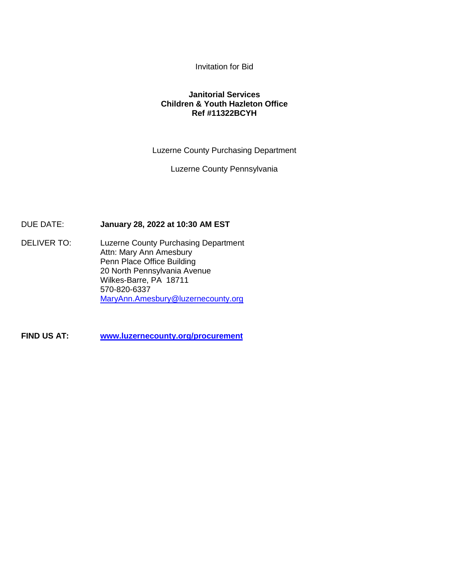Invitation for Bid

## **Janitorial Services Children & Youth Hazleton Office Ref #11322BCYH**

Luzerne County Purchasing Department

Luzerne County Pennsylvania

DUE DATE: **January 28, 2022 at 10:30 AM EST**

DELIVER TO: Luzerne County Purchasing Department Attn: Mary Ann Amesbury Penn Place Office Building 20 North Pennsylvania Avenue Wilkes-Barre, PA 18711 570-820-6337 [MaryAnn.Amesbury@luzernecounty.org](mailto:MaryAnn.Amesbury@luzernecounty.org)

**FIND US AT: [www.luzernecounty.org/](http://www.luzernecounty.org/)procurement**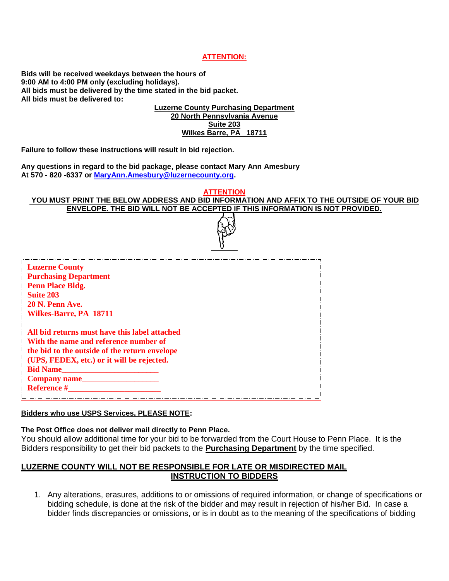#### **ATTENTION:**

**Bids will be received weekdays between the hours of 9:00 AM to 4:00 PM only (excluding holidays). All bids must be delivered by the time stated in the bid packet. All bids must be delivered to:**

> **Luzerne County Purchasing Department 20 North Pennsylvania Avenue Suite 203 Wilkes Barre, PA 18711**

**Failure to follow these instructions will result in bid rejection.**

**Any questions in regard to the bid package, please contact Mary Ann Amesbury At 570 - 820 -6337 or [MaryAnn.Amesbury@luzernecounty.org.](mailto:MaryAnn.Amesbury@luzernecounty.org)**

#### **ATTENTION YOU MUST PRINT THE BELOW ADDRESS AND BID INFORMATION AND AFFIX TO THE OUTSIDE OF YOUR BID ENVELOPE. THE BID WILL NOT BE ACCEPTED IF THIS INFORMATION IS NOT PROVIDED.**

| <b>Luzerne County</b><br><b>Purchasing Department</b> |  |
|-------------------------------------------------------|--|
| <b>Penn Place Bldg.</b>                               |  |
| <b>Suite 203</b>                                      |  |
| 20 N. Penn Ave.                                       |  |
| Wilkes-Barre, PA 18711                                |  |
| All bid returns must have this label attached         |  |
| With the name and reference number of                 |  |
| the bid to the outside of the return envelope         |  |
| (UPS, FEDEX, etc.) or it will be rejected.            |  |
| <b>Bid Name</b>                                       |  |
| Company name                                          |  |
| <b>Reference #</b>                                    |  |
|                                                       |  |

#### **Bidders who use USPS Services, PLEASE NOTE:**

#### **The Post Office does not deliver mail directly to Penn Place.**

You should allow additional time for your bid to be forwarded from the Court House to Penn Place. It is the Bidders responsibility to get their bid packets to the **Purchasing Department** by the time specified.

## **LUZERNE COUNTY WILL NOT BE RESPONSIBLE FOR LATE OR MISDIRECTED MAIL INSTRUCTION TO BIDDERS**

1. Any alterations, erasures, additions to or omissions of required information, or change of specifications or bidding schedule, is done at the risk of the bidder and may result in rejection of his/her Bid. In case a bidder finds discrepancies or omissions, or is in doubt as to the meaning of the specifications of bidding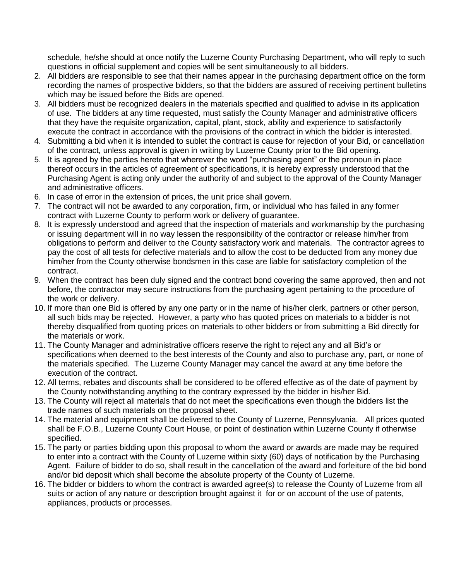schedule, he/she should at once notify the Luzerne County Purchasing Department, who will reply to such questions in official supplement and copies will be sent simultaneously to all bidders.

- 2. All bidders are responsible to see that their names appear in the purchasing department office on the form recording the names of prospective bidders, so that the bidders are assured of receiving pertinent bulletins which may be issued before the Bids are opened.
- 3. All bidders must be recognized dealers in the materials specified and qualified to advise in its application of use. The bidders at any time requested, must satisfy the County Manager and administrative officers that they have the requisite organization, capital, plant, stock, ability and experience to satisfactorily execute the contract in accordance with the provisions of the contract in which the bidder is interested.
- 4. Submitting a bid when it is intended to sublet the contract is cause for rejection of your Bid, or cancellation of the contract, unless approval is given in writing by Luzerne County prior to the Bid opening.
- 5. It is agreed by the parties hereto that wherever the word "purchasing agent" or the pronoun in place thereof occurs in the articles of agreement of specifications, it is hereby expressly understood that the Purchasing Agent is acting only under the authority of and subject to the approval of the County Manager and administrative officers.
- 6. In case of error in the extension of prices, the unit price shall govern.
- 7. The contract will not be awarded to any corporation, firm, or individual who has failed in any former contract with Luzerne County to perform work or delivery of guarantee.
- 8. It is expressly understood and agreed that the inspection of materials and workmanship by the purchasing or issuing department will in no way lessen the responsibility of the contractor or release him/her from obligations to perform and deliver to the County satisfactory work and materials. The contractor agrees to pay the cost of all tests for defective materials and to allow the cost to be deducted from any money due him/her from the County otherwise bondsmen in this case are liable for satisfactory completion of the contract.
- 9. When the contract has been duly signed and the contract bond covering the same approved, then and not before, the contractor may secure instructions from the purchasing agent pertaining to the procedure of the work or delivery.
- 10. If more than one Bid is offered by any one party or in the name of his/her clerk, partners or other person, all such bids may be rejected. However, a party who has quoted prices on materials to a bidder is not thereby disqualified from quoting prices on materials to other bidders or from submitting a Bid directly for the materials or work.
- 11. The County Manager and administrative officers reserve the right to reject any and all Bid's or specifications when deemed to the best interests of the County and also to purchase any, part, or none of the materials specified. The Luzerne County Manager may cancel the award at any time before the execution of the contract.
- 12. All terms, rebates and discounts shall be considered to be offered effective as of the date of payment by the County notwithstanding anything to the contrary expressed by the bidder in his/her Bid.
- 13. The County will reject all materials that do not meet the specifications even though the bidders list the trade names of such materials on the proposal sheet.
- 14. The material and equipment shall be delivered to the County of Luzerne, Pennsylvania. All prices quoted shall be F.O.B., Luzerne County Court House, or point of destination within Luzerne County if otherwise specified.
- 15. The party or parties bidding upon this proposal to whom the award or awards are made may be required to enter into a contract with the County of Luzerne within sixty (60) days of notification by the Purchasing Agent. Failure of bidder to do so, shall result in the cancellation of the award and forfeiture of the bid bond and/or bid deposit which shall become the absolute property of the County of Luzerne.
- 16. The bidder or bidders to whom the contract is awarded agree(s) to release the County of Luzerne from all suits or action of any nature or description brought against it for or on account of the use of patents, appliances, products or processes.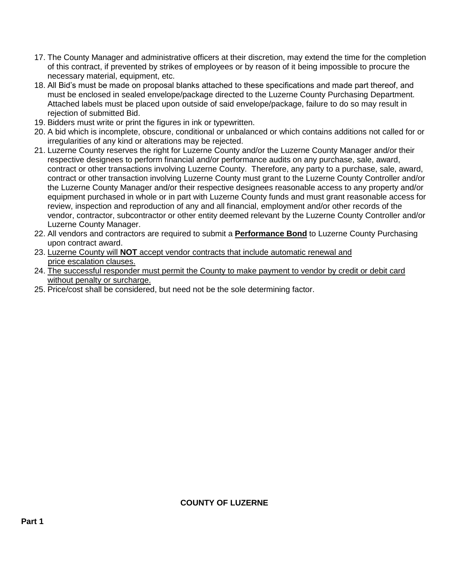- 17. The County Manager and administrative officers at their discretion, may extend the time for the completion of this contract, if prevented by strikes of employees or by reason of it being impossible to procure the necessary material, equipment, etc.
- 18. All Bid's must be made on proposal blanks attached to these specifications and made part thereof, and must be enclosed in sealed envelope/package directed to the Luzerne County Purchasing Department. Attached labels must be placed upon outside of said envelope/package, failure to do so may result in rejection of submitted Bid.
- 19. Bidders must write or print the figures in ink or typewritten.
- 20. A bid which is incomplete, obscure, conditional or unbalanced or which contains additions not called for or irregularities of any kind or alterations may be rejected.
- 21. Luzerne County reserves the right for Luzerne County and/or the Luzerne County Manager and/or their respective designees to perform financial and/or performance audits on any purchase, sale, award, contract or other transactions involving Luzerne County. Therefore, any party to a purchase, sale, award, contract or other transaction involving Luzerne County must grant to the Luzerne County Controller and/or the Luzerne County Manager and/or their respective designees reasonable access to any property and/or equipment purchased in whole or in part with Luzerne County funds and must grant reasonable access for review, inspection and reproduction of any and all financial, employment and/or other records of the vendor, contractor, subcontractor or other entity deemed relevant by the Luzerne County Controller and/or Luzerne County Manager.
- 22. All vendors and contractors are required to submit a **Performance Bond** to Luzerne County Purchasing upon contract award.
- 23. Luzerne County will **NOT** accept vendor contracts that include automatic renewal and price escalation clauses.
- 24. The successful responder must permit the County to make payment to vendor by credit or debit card without penalty or surcharge.
- 25. Price/cost shall be considered, but need not be the sole determining factor.

## **COUNTY OF LUZERNE**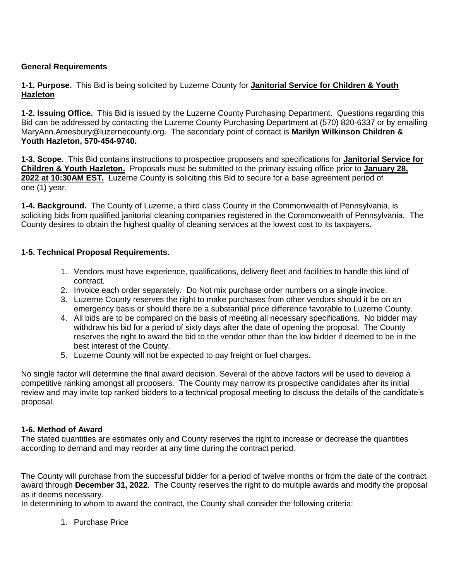## **General Requirements**

**1-1. Purpose.** This Bid is being solicited by Luzerne County for **Janitorial Service for Children & Youth Hazleton**

**1-2. Issuing Office.** This Bid is issued by the Luzerne County Purchasing Department. Questions regarding this Bid can be addressed by contacting the Luzerne County Purchasing Department at (570) 820-6337 or by emailing MaryAnn.Amesbury@luzernecounty.org. The secondary point of contact is **Marilyn Wilkinson Children & Youth Hazleton, 570-454-9740.**

**1-3. Scope.** This Bid contains instructions to prospective proposers and specifications for **Janitorial Service for Children & Youth Hazleton.** Proposals must be submitted to the primary issuing office prior to **January 28, 2022 at 10:30AM EST.** Luzerne County is soliciting this Bid to secure for a base agreement period of one (1) year.

**1-4. Background.** The County of Luzerne, a third class County in the Commonwealth of Pennsylvania, is soliciting bids from qualified janitorial cleaning companies registered in the Commonwealth of Pennsylvania. The County desires to obtain the highest quality of cleaning services at the lowest cost to its taxpayers.

## **1-5. Technical Proposal Requirements.**

- 1. Vendors must have experience, qualifications, delivery fleet and facilities to handle this kind of contract.
- 2. Invoice each order separately. Do Not mix purchase order numbers on a single invoice.
- 3. Luzerne County reserves the right to make purchases from other vendors should it be on an emergency basis or should there be a substantial price difference favorable to Luzerne County.
- 4. All bids are to be compared on the basis of meeting all necessary specifications. No bidder may withdraw his bid for a period of sixty days after the date of opening the proposal. The County reserves the right to award the bid to the vendor other than the low bidder if deemed to be in the best interest of the County.
- 5. Luzerne County will not be expected to pay freight or fuel charges.

No single factor will determine the final award decision. Several of the above factors will be used to develop a competitive ranking amongst all proposers. The County may narrow its prospective candidates after its initial review and may invite top ranked bidders to a technical proposal meeting to discuss the details of the candidate's proposal.

## **1-6. Method of Award**

The stated quantities are estimates only and County reserves the right to increase or decrease the quantities according to demand and may reorder at any time during the contract period.

The County will purchase from the successful bidder for a period of twelve months or from the date of the contract award through **December 31, 2022**. The County reserves the right to do multiple awards and modify the proposal as it deems necessary.

In determining to whom to award the contract, the County shall consider the following criteria:

1. Purchase Price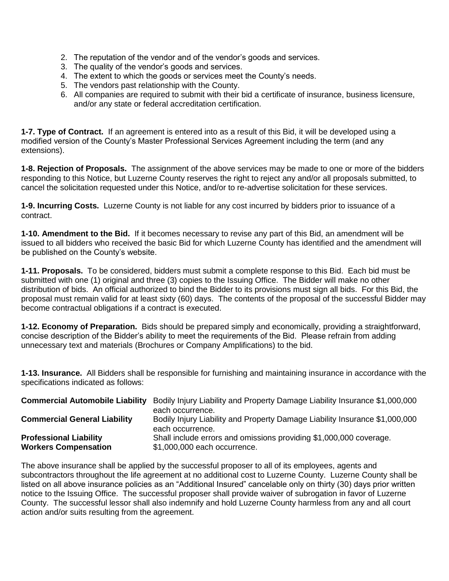- 2. The reputation of the vendor and of the vendor's goods and services.
- 3. The quality of the vendor's goods and services.
- 4. The extent to which the goods or services meet the County's needs.
- 5. The vendors past relationship with the County.
- 6. All companies are required to submit with their bid a certificate of insurance, business licensure, and/or any state or federal accreditation certification.

**1-7. Type of Contract.** If an agreement is entered into as a result of this Bid, it will be developed using a modified version of the County's Master Professional Services Agreement including the term (and any extensions).

**1-8. Rejection of Proposals.** The assignment of the above services may be made to one or more of the bidders responding to this Notice, but Luzerne County reserves the right to reject any and/or all proposals submitted, to cancel the solicitation requested under this Notice, and/or to re-advertise solicitation for these services.

**1-9. Incurring Costs.** Luzerne County is not liable for any cost incurred by bidders prior to issuance of a contract.

**1-10. Amendment to the Bid.** If it becomes necessary to revise any part of this Bid, an amendment will be issued to all bidders who received the basic Bid for which Luzerne County has identified and the amendment will be published on the County's website.

**1-11. Proposals.** To be considered, bidders must submit a complete response to this Bid. Each bid must be submitted with one (1) original and three (3) copies to the Issuing Office. The Bidder will make no other distribution of bids. An official authorized to bind the Bidder to its provisions must sign all bids. For this Bid, the proposal must remain valid for at least sixty (60) days. The contents of the proposal of the successful Bidder may become contractual obligations if a contract is executed.

**1-12. Economy of Preparation.** Bids should be prepared simply and economically, providing a straightforward, concise description of the Bidder's ability to meet the requirements of the Bid. Please refrain from adding unnecessary text and materials (Brochures or Company Amplifications) to the bid.

**1-13. Insurance.** All Bidders shall be responsible for furnishing and maintaining insurance in accordance with the specifications indicated as follows:

| <b>Commercial Automobile Liability</b> | Bodily Injury Liability and Property Damage Liability Insurance \$1,000,000                     |
|----------------------------------------|-------------------------------------------------------------------------------------------------|
|                                        | each occurrence.                                                                                |
| <b>Commercial General Liability</b>    | Bodily Injury Liability and Property Damage Liability Insurance \$1,000,000<br>each occurrence. |
|                                        |                                                                                                 |
| <b>Professional Liability</b>          | Shall include errors and omissions providing \$1,000,000 coverage.                              |
| <b>Workers Compensation</b>            | \$1,000,000 each occurrence.                                                                    |

The above insurance shall be applied by the successful proposer to all of its employees, agents and subcontractors throughout the life agreement at no additional cost to Luzerne County. Luzerne County shall be listed on all above insurance policies as an "Additional Insured" cancelable only on thirty (30) days prior written notice to the Issuing Office. The successful proposer shall provide waiver of subrogation in favor of Luzerne County. The successful lessor shall also indemnify and hold Luzerne County harmless from any and all court action and/or suits resulting from the agreement.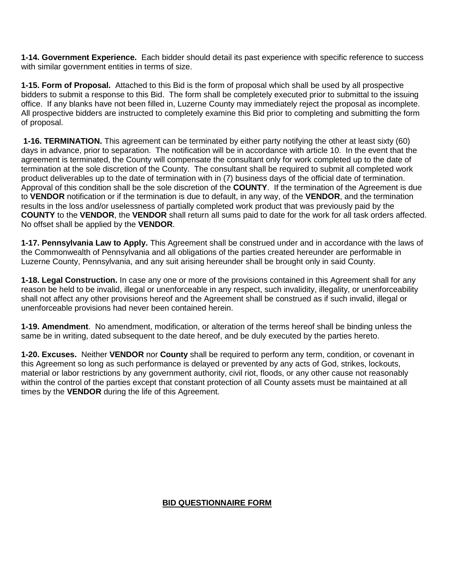**1-14. Government Experience.** Each bidder should detail its past experience with specific reference to success with similar government entities in terms of size.

**1-15. Form of Proposal.** Attached to this Bid is the form of proposal which shall be used by all prospective bidders to submit a response to this Bid. The form shall be completely executed prior to submittal to the issuing office. If any blanks have not been filled in, Luzerne County may immediately reject the proposal as incomplete. All prospective bidders are instructed to completely examine this Bid prior to completing and submitting the form of proposal.

**1-16. TERMINATION.** This agreement can be terminated by either party notifying the other at least sixty (60) days in advance, prior to separation. The notification will be in accordance with article 10. In the event that the agreement is terminated, the County will compensate the consultant only for work completed up to the date of termination at the sole discretion of the County. The consultant shall be required to submit all completed work product deliverables up to the date of termination with in (7) business days of the official date of termination. Approval of this condition shall be the sole discretion of the **COUNTY**. If the termination of the Agreement is due to **VENDOR** notification or if the termination is due to default, in any way, of the **VENDOR**, and the termination results in the loss and/or uselessness of partially completed work product that was previously paid by the **COUNTY** to the **VENDOR**, the **VENDOR** shall return all sums paid to date for the work for all task orders affected. No offset shall be applied by the **VENDOR**.

**1-17. Pennsylvania Law to Apply.** This Agreement shall be construed under and in accordance with the laws of the Commonwealth of Pennsylvania and all obligations of the parties created hereunder are performable in Luzerne County, Pennsylvania, and any suit arising hereunder shall be brought only in said County.

**1-18. Legal Construction.** In case any one or more of the provisions contained in this Agreement shall for any reason be held to be invalid, illegal or unenforceable in any respect, such invalidity, illegality, or unenforceability shall not affect any other provisions hereof and the Agreement shall be construed as if such invalid, illegal or unenforceable provisions had never been contained herein.

**1-19. Amendment**. No amendment, modification, or alteration of the terms hereof shall be binding unless the same be in writing, dated subsequent to the date hereof, and be duly executed by the parties hereto.

**1-20. Excuses.** Neither **VENDOR** nor **County** shall be required to perform any term, condition, or covenant in this Agreement so long as such performance is delayed or prevented by any acts of God, strikes, lockouts, material or labor restrictions by any government authority, civil riot, floods, or any other cause not reasonably within the control of the parties except that constant protection of all County assets must be maintained at all times by the **VENDOR** during the life of this Agreement.

# **BID QUESTIONNAIRE FORM**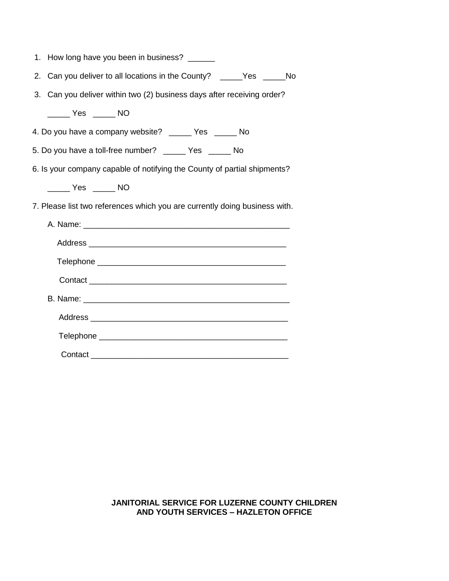| 1. How long have you been in business? ______                              |
|----------------------------------------------------------------------------|
| Can you deliver to all locations in the County? _____Yes _____No<br>2.     |
| Can you deliver within two (2) business days after receiving order?<br>3.  |
| NO <sub>N</sub>                                                            |
| 4. Do you have a company website? ______ Yes _____ No                      |
| 5. Do you have a toll-free number? ______ Yes ______ No                    |
| 6. Is your company capable of notifying the County of partial shipments?   |
| ________ Yes _______ NO                                                    |
| 7. Please list two references which you are currently doing business with. |
|                                                                            |
|                                                                            |
|                                                                            |
|                                                                            |
|                                                                            |
|                                                                            |
|                                                                            |
|                                                                            |

## **JANITORIAL SERVICE FOR LUZERNE COUNTY CHILDREN AND YOUTH SERVICES – HAZLETON OFFICE**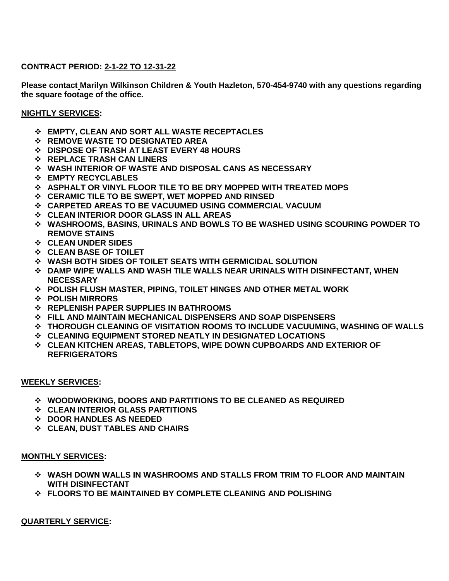## **CONTRACT PERIOD: 2-1-22 TO 12-31-22**

**Please contact Marilyn Wilkinson Children & Youth Hazleton, 570-454-9740 with any questions regarding the square footage of the office.**

## **NIGHTLY SERVICES:**

- **EMPTY, CLEAN AND SORT ALL WASTE RECEPTACLES**
- **REMOVE WASTE TO DESIGNATED AREA**
- **DISPOSE OF TRASH AT LEAST EVERY 48 HOURS**
- **REPLACE TRASH CAN LINERS**
- **WASH INTERIOR OF WASTE AND DISPOSAL CANS AS NECESSARY**
- **EMPTY RECYCLABLES**
- **ASPHALT OR VINYL FLOOR TILE TO BE DRY MOPPED WITH TREATED MOPS**
- **CERAMIC TILE TO BE SWEPT, WET MOPPED AND RINSED**
- **CARPETED AREAS TO BE VACUUMED USING COMMERCIAL VACUUM**
- **CLEAN INTERIOR DOOR GLASS IN ALL AREAS**
- **WASHROOMS, BASINS, URINALS AND BOWLS TO BE WASHED USING SCOURING POWDER TO REMOVE STAINS**
- **CLEAN UNDER SIDES**
- **CLEAN BASE OF TOILET**
- **WASH BOTH SIDES OF TOILET SEATS WITH GERMICIDAL SOLUTION**
- **DAMP WIPE WALLS AND WASH TILE WALLS NEAR URINALS WITH DISINFECTANT, WHEN NECESSARY**
- **POLISH FLUSH MASTER, PIPING, TOILET HINGES AND OTHER METAL WORK**
- **POLISH MIRRORS**
- **REPLENISH PAPER SUPPLIES IN BATHROOMS**
- **FILL AND MAINTAIN MECHANICAL DISPENSERS AND SOAP DISPENSERS**
- **THOROUGH CLEANING OF VISITATION ROOMS TO INCLUDE VACUUMING, WASHING OF WALLS**
- **CLEANING EQUIPMENT STORED NEATLY IN DESIGNATED LOCATIONS**
- **CLEAN KITCHEN AREAS, TABLETOPS, WIPE DOWN CUPBOARDS AND EXTERIOR OF REFRIGERATORS**

#### **WEEKLY SERVICES:**

- **WOODWORKING, DOORS AND PARTITIONS TO BE CLEANED AS REQUIRED**
- **CLEAN INTERIOR GLASS PARTITIONS**
- **DOOR HANDLES AS NEEDED**
- **CLEAN, DUST TABLES AND CHAIRS**

#### **MONTHLY SERVICES:**

- **WASH DOWN WALLS IN WASHROOMS AND STALLS FROM TRIM TO FLOOR AND MAINTAIN WITH DISINFECTANT**
- **FLOORS TO BE MAINTAINED BY COMPLETE CLEANING AND POLISHING**

**QUARTERLY SERVICE:**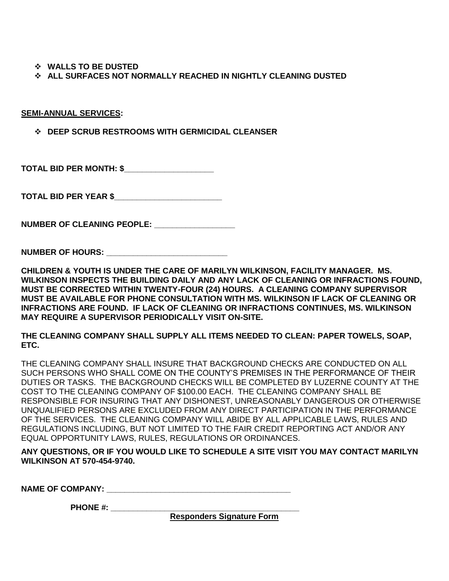**WALLS TO BE DUSTED**

**ALL SURFACES NOT NORMALLY REACHED IN NIGHTLY CLEANING DUSTED**

**SEMI-ANNUAL SERVICES:**

**DEEP SCRUB RESTROOMS WITH GERMICIDAL CLEANSER**

**TOTAL BID PER MONTH: \$\_\_\_\_\_\_\_\_\_\_\_\_\_\_\_\_\_\_\_\_**

**TOTAL BID PER YEAR \$\_\_\_\_\_\_\_\_\_\_\_\_\_\_\_\_\_\_\_\_\_\_\_\_**

**NUMBER OF CLEANING PEOPLE:** 

**NUMBER OF HOURS: \_\_\_\_\_\_\_\_\_\_\_\_\_\_\_\_\_\_\_\_\_\_\_\_\_\_\_**

**CHILDREN & YOUTH IS UNDER THE CARE OF MARILYN WILKINSON, FACILITY MANAGER. MS. WILKINSON INSPECTS THE BUILDING DAILY AND ANY LACK OF CLEANING OR INFRACTIONS FOUND, MUST BE CORRECTED WITHIN TWENTY-FOUR (24) HOURS. A CLEANING COMPANY SUPERVISOR MUST BE AVAILABLE FOR PHONE CONSULTATION WITH MS. WILKINSON IF LACK OF CLEANING OR INFRACTIONS ARE FOUND. IF LACK OF CLEANING OR INFRACTIONS CONTINUES, MS. WILKINSON MAY REQUIRE A SUPERVISOR PERIODICALLY VISIT ON-SITE.**

**THE CLEANING COMPANY SHALL SUPPLY ALL ITEMS NEEDED TO CLEAN: PAPER TOWELS, SOAP, ETC.**

THE CLEANING COMPANY SHALL INSURE THAT BACKGROUND CHECKS ARE CONDUCTED ON ALL SUCH PERSONS WHO SHALL COME ON THE COUNTY'S PREMISES IN THE PERFORMANCE OF THEIR DUTIES OR TASKS. THE BACKGROUND CHECKS WILL BE COMPLETED BY LUZERNE COUNTY AT THE COST TO THE CLEANING COMPANY OF \$100.00 EACH. THE CLEANING COMPANY SHALL BE RESPONSIBLE FOR INSURING THAT ANY DISHONEST, UNREASONABLY DANGEROUS OR OTHERWISE UNQUALIFIED PERSONS ARE EXCLUDED FROM ANY DIRECT PARTICIPATION IN THE PERFORMANCE OF THE SERVICES. THE CLEANING COMPANY WILL ABIDE BY ALL APPLICABLE LAWS, RULES AND REGULATIONS INCLUDING, BUT NOT LIMITED TO THE FAIR CREDIT REPORTING ACT AND/OR ANY EQUAL OPPORTUNITY LAWS, RULES, REGULATIONS OR ORDINANCES.

**ANY QUESTIONS, OR IF YOU WOULD LIKE TO SCHEDULE A SITE VISIT YOU MAY CONTACT MARILYN WILKINSON AT 570-454-9740.**

NAME OF COMPANY:

 **PHONE #: \_\_\_\_\_\_\_\_\_\_\_\_\_\_\_\_\_\_\_\_\_\_\_\_\_\_\_\_\_\_\_\_\_\_\_\_\_\_\_\_\_\_**

**Responders Signature Form**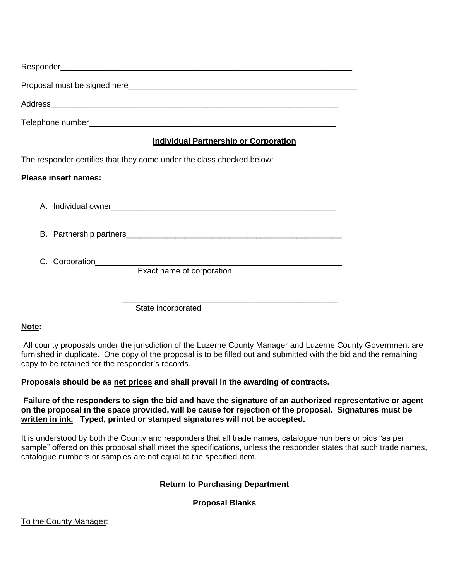| <b>Individual Partnership or Corporation</b>                          |
|-----------------------------------------------------------------------|
| The responder certifies that they come under the class checked below: |
| Please insert names:                                                  |
|                                                                       |
|                                                                       |
| Exact name of corporation                                             |
| State incorporated                                                    |

## **Note:**

All county proposals under the jurisdiction of the Luzerne County Manager and Luzerne County Government are furnished in duplicate. One copy of the proposal is to be filled out and submitted with the bid and the remaining copy to be retained for the responder's records.

## **Proposals should be as net prices and shall prevail in the awarding of contracts.**

**Failure of the responders to sign the bid and have the signature of an authorized representative or agent on the proposal in the space provided, will be cause for rejection of the proposal. Signatures must be written in ink. Typed, printed or stamped signatures will not be accepted.** 

It is understood by both the County and responders that all trade names, catalogue numbers or bids "as per sample" offered on this proposal shall meet the specifications, unless the responder states that such trade names, catalogue numbers or samples are not equal to the specified item.

# **Return to Purchasing Department**

# **Proposal Blanks**

To the County Manager: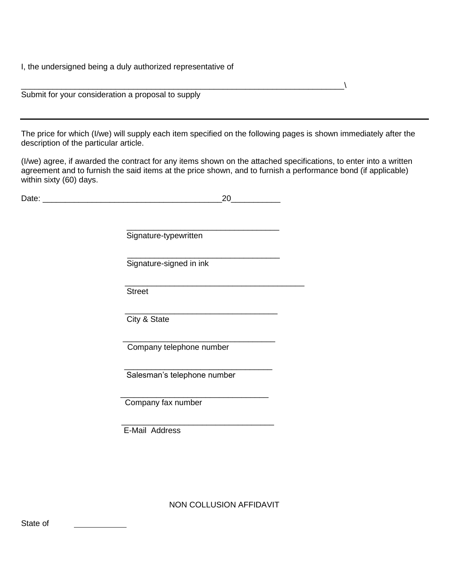I, the undersigned being a duly authorized representative of

| Submit for your consideration a proposal to supply                                                                                                         |
|------------------------------------------------------------------------------------------------------------------------------------------------------------|
| The price for which (I/we) will supply each item specified on the following pages is shown immediately after the<br>description of the particular article. |
| $\frac{f}{\alpha}$ are if awarded the contract for any items shown on the attached specifications to enter into a written                                  |

(I/we) agree, if awarded the contract for any items shown on the attached specifications, to enter into a written agreement and to furnish the said items at the price shown, and to furnish a performance bond (if applicable) within sixty (60) days.

 $\setminus$ 

| Date: | 20                          |  |
|-------|-----------------------------|--|
|       |                             |  |
|       |                             |  |
|       | Signature-typewritten       |  |
|       | Signature-signed in ink     |  |
|       | <b>Street</b>               |  |
|       | City & State                |  |
|       | Company telephone number    |  |
|       | Salesman's telephone number |  |
|       | Company fax number          |  |
|       | E-Mail Address              |  |
|       |                             |  |

NON COLLUSION AFFIDAVIT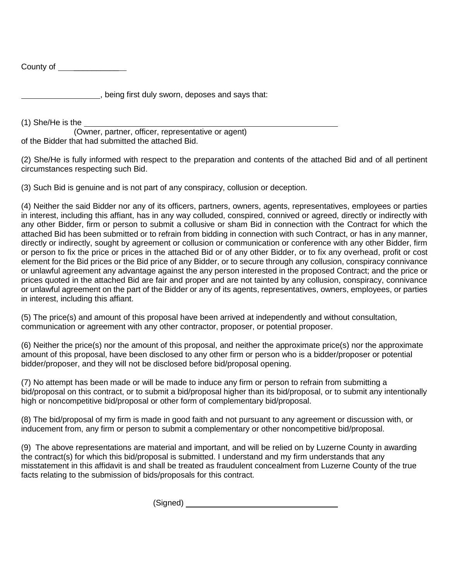County of \_\_\_\_\_\_\_\_\_\_\_

, being first duly sworn, deposes and says that:

(1) She/He is the

(Owner, partner, officer, representative or agent) of the Bidder that had submitted the attached Bid.

(2) She/He is fully informed with respect to the preparation and contents of the attached Bid and of all pertinent circumstances respecting such Bid.

(3) Such Bid is genuine and is not part of any conspiracy, collusion or deception.

(4) Neither the said Bidder nor any of its officers, partners, owners, agents, representatives, employees or parties in interest, including this affiant, has in any way colluded, conspired, connived or agreed, directly or indirectly with any other Bidder, firm or person to submit a collusive or sham Bid in connection with the Contract for which the attached Bid has been submitted or to refrain from bidding in connection with such Contract, or has in any manner, directly or indirectly, sought by agreement or collusion or communication or conference with any other Bidder, firm or person to fix the price or prices in the attached Bid or of any other Bidder, or to fix any overhead, profit or cost element for the Bid prices or the Bid price of any Bidder, or to secure through any collusion, conspiracy connivance or unlawful agreement any advantage against the any person interested in the proposed Contract; and the price or prices quoted in the attached Bid are fair and proper and are not tainted by any collusion, conspiracy, connivance or unlawful agreement on the part of the Bidder or any of its agents, representatives, owners, employees, or parties in interest, including this affiant.

(5) The price(s) and amount of this proposal have been arrived at independently and without consultation, communication or agreement with any other contractor, proposer, or potential proposer.

(6) Neither the price(s) nor the amount of this proposal, and neither the approximate price(s) nor the approximate amount of this proposal, have been disclosed to any other firm or person who is a bidder/proposer or potential bidder/proposer, and they will not be disclosed before bid/proposal opening.

(7) No attempt has been made or will be made to induce any firm or person to refrain from submitting a bid/proposal on this contract, or to submit a bid/proposal higher than its bid/proposal, or to submit any intentionally high or noncompetitive bid/proposal or other form of complementary bid/proposal.

(8) The bid/proposal of my firm is made in good faith and not pursuant to any agreement or discussion with, or inducement from, any firm or person to submit a complementary or other noncompetitive bid/proposal.

(9) The above representations are material and important, and will be relied on by Luzerne County in awarding the contract(s) for which this bid/proposal is submitted. I understand and my firm understands that any misstatement in this affidavit is and shall be treated as fraudulent concealment from Luzerne County of the true facts relating to the submission of bids/proposals for this contract.

(Signed)